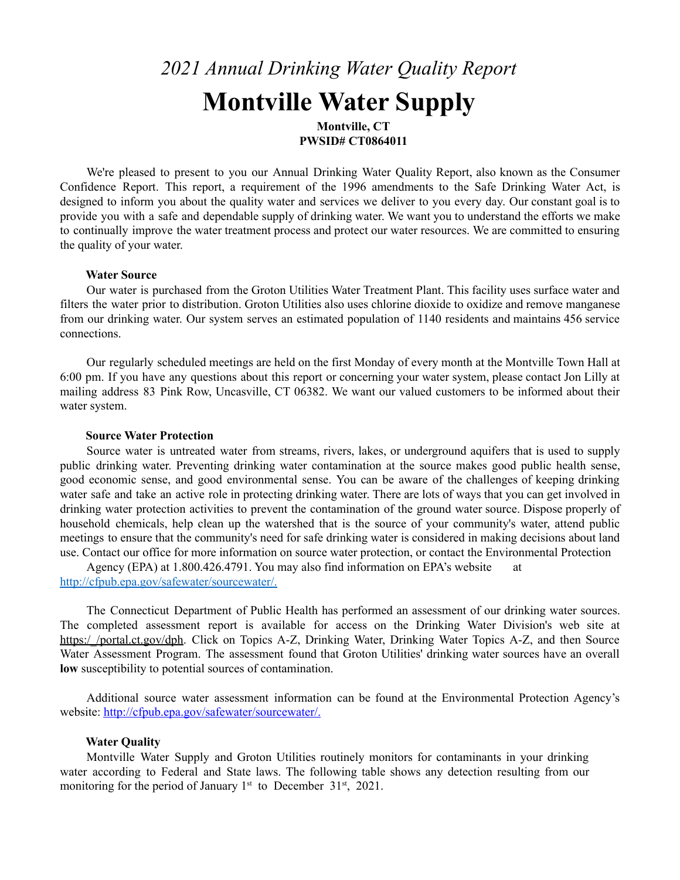# *2021 Annual Drinking Water Quality Report* **Montville Water Supply**

**Montville, CT PWSID# CT0864011**

We're pleased to present to you our Annual Drinking Water Quality Report, also known as the Consumer Confidence Report. This report, a requirement of the 1996 amendments to the Safe Drinking Water Act, is designed to inform you about the quality water and services we deliver to you every day. Our constant goal is to provide you with a safe and dependable supply of drinking water. We want you to understand the efforts we make to continually improve the water treatment process and protect our water resources. We are committed to ensuring the quality of your water.

## **Water Source**

Our water is purchased from the Groton Utilities Water Treatment Plant. This facility uses surface water and filters the water prior to distribution. Groton Utilities also uses chlorine dioxide to oxidize and remove manganese from our drinking water. Our system serves an estimated population of 1140 residents and maintains 456 service connections.

Our regularly scheduled meetings are held on the first Monday of every month at the Montville Town Hall at 6:00 pm. If you have any questions about this report or concerning your water system, please contact Jon Lilly at mailing address 83 Pink Row, Uncasville, CT 06382. We want our valued customers to be informed about their water system.

## **Source Water Protection**

Source water is untreated water from streams, rivers, lakes, or underground aquifers that is used to supply public drinking water. Preventing drinking water contamination at the source makes good public health sense, good economic sense, and good environmental sense. You can be aware of the challenges of keeping drinking water safe and take an active role in protecting drinking water. There are lots of ways that you can get involved in drinking water protection activities to prevent the contamination of the ground water source. Dispose properly of household chemicals, help clean up the watershed that is the source of your community's water, attend public meetings to ensure that the community's need for safe drinking water is considered in making decisions about land use. Contact our office for more information on source water protection, or contact the Environmental Protection

Agency (EPA) at 1.800.426.4791. You may also find information on EPA's website at <http://cfpub.epa.gov/safewater/sourcewater/.>

The Connecticut Department of Public Health has performed an assessment of our drinking water sources. The completed assessment report is available for access on the Drinking Water Division's web site at https://portal.ct.gov/dph. Click on Topics A-Z, Drinking Water, Drinking Water Topics A-Z, and then Source Water Assessment Program. The assessment found that Groton Utilities' drinking water sources have an overall **low** susceptibility to potential sources of contamination.

Additional source water assessment information can be found at the Environmental Protection Agency's website: [http://cfpub.epa.gov/safewater/sourcewater/.](http://cfpub.epa.gov/safewater/sourcewater/)

## **Water Quality**

Montville Water Supply and Groton Utilities routinely monitors for contaminants in your drinking water according to Federal and State laws. The following table shows any detection resulting from our monitoring for the period of January  $1<sup>st</sup>$  to December 31 $<sup>st</sup>$ , 2021.</sup>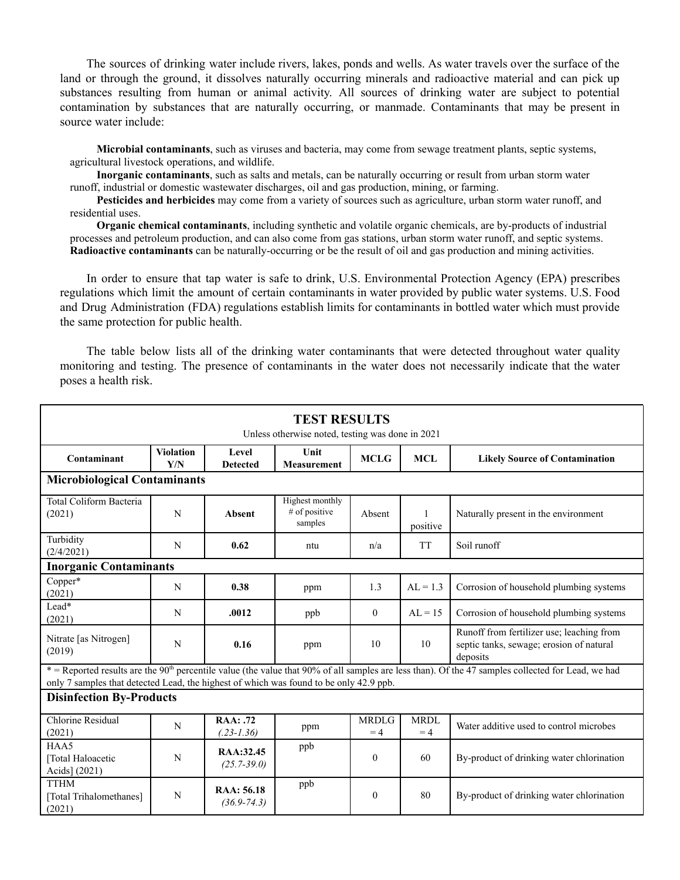The sources of drinking water include rivers, lakes, ponds and wells. As water travels over the surface of the land or through the ground, it dissolves naturally occurring minerals and radioactive material and can pick up substances resulting from human or animal activity. All sources of drinking water are subject to potential contamination by substances that are naturally occurring, or manmade. Contaminants that may be present in source water include:

**Microbial contaminants**, such as viruses and bacteria, may come from sewage treatment plants, septic systems, agricultural livestock operations, and wildlife.

**Inorganic contaminants**, such as salts and metals, can be naturally occurring or result from urban storm water runoff, industrial or domestic wastewater discharges, oil and gas production, mining, or farming.

**Pesticides and herbicides** may come from a variety of sources such as agriculture, urban storm water runoff, and residential uses.

**Organic chemical contaminants**, including synthetic and volatile organic chemicals, are by-products of industrial processes and petroleum production, and can also come from gas stations, urban storm water runoff, and septic systems. **Radioactive contaminants** can be naturally-occurring or be the result of oil and gas production and mining activities.

In order to ensure that tap water is safe to drink, U.S. Environmental Protection Agency (EPA) prescribes regulations which limit the amount of certain contaminants in water provided by public water systems. U.S. Food and Drug Administration (FDA) regulations establish limits for contaminants in bottled water which must provide the same protection for public health.

The table below lists all of the drinking water contaminants that were detected throughout water quality monitoring and testing. The presence of contaminants in the water does not necessarily indicate that the water poses a health risk.

| <b>TEST RESULTS</b><br>Unless otherwise noted, testing was done in 2021                                                                                                                                                                                  |                                                     |                               |                                                    |                      |                          |                                                                                                   |  |  |  |  |
|----------------------------------------------------------------------------------------------------------------------------------------------------------------------------------------------------------------------------------------------------------|-----------------------------------------------------|-------------------------------|----------------------------------------------------|----------------------|--------------------------|---------------------------------------------------------------------------------------------------|--|--|--|--|
| Contaminant                                                                                                                                                                                                                                              | <b>Violation</b><br>Level<br>Y/N<br><b>Detected</b> |                               | Unit<br><b>Measurement</b>                         | <b>MCLG</b>          | <b>MCL</b>               | <b>Likely Source of Contamination</b>                                                             |  |  |  |  |
| <b>Microbiological Contaminants</b>                                                                                                                                                                                                                      |                                                     |                               |                                                    |                      |                          |                                                                                                   |  |  |  |  |
| <b>Total Coliform Bacteria</b><br>(2021)                                                                                                                                                                                                                 | N                                                   | <b>Absent</b>                 | <b>Highest monthly</b><br># of positive<br>samples | Absent               | $\mathbf{1}$<br>positive | Naturally present in the environment                                                              |  |  |  |  |
| Turbidity<br>(2/4/2021)                                                                                                                                                                                                                                  | N                                                   | 0.62                          | ntu                                                | n/a                  | <b>TT</b>                | Soil runoff                                                                                       |  |  |  |  |
| <b>Inorganic Contaminants</b>                                                                                                                                                                                                                            |                                                     |                               |                                                    |                      |                          |                                                                                                   |  |  |  |  |
| Copper*<br>(2021)                                                                                                                                                                                                                                        | $\mathbf N$                                         | 0.38                          | ppm                                                | 1.3                  | $AL = 1.3$               | Corrosion of household plumbing systems                                                           |  |  |  |  |
| Lead*<br>(2021)                                                                                                                                                                                                                                          | N                                                   | .0012                         | ppb                                                | $\mathbf{0}$         | $AL = 15$                | Corrosion of household plumbing systems                                                           |  |  |  |  |
| Nitrate [as Nitrogen]<br>(2019)                                                                                                                                                                                                                          | N                                                   | 0.16                          | ppm                                                | 10                   | 10                       | Runoff from fertilizer use; leaching from<br>septic tanks, sewage; erosion of natural<br>deposits |  |  |  |  |
| * = Reported results are the 90 <sup>th</sup> percentile value (the value that 90% of all samples are less than). Of the 47 samples collected for Lead, we had<br>only 7 samples that detected Lead, the highest of which was found to be only 42.9 ppb. |                                                     |                               |                                                    |                      |                          |                                                                                                   |  |  |  |  |
| <b>Disinfection By-Products</b>                                                                                                                                                                                                                          |                                                     |                               |                                                    |                      |                          |                                                                                                   |  |  |  |  |
| Chlorine Residual<br>(2021)                                                                                                                                                                                                                              | N                                                   | RAA: .72<br>$(.23-1.36)$      | ppm                                                | <b>MRDLG</b><br>$=4$ | <b>MRDL</b><br>$=4$      | Water additive used to control microbes                                                           |  |  |  |  |
| HAA5<br>[Total Haloacetic<br>Acids] (2021)                                                                                                                                                                                                               | N                                                   | RAA:32.45<br>$(25.7 - 39.0)$  | ppb                                                | $\mathbf{0}$         | 60                       | By-product of drinking water chlorination                                                         |  |  |  |  |
| <b>TTHM</b><br>[Total Trihalomethanes]<br>(2021)                                                                                                                                                                                                         | ${\bf N}$                                           | RAA: 56.18<br>$(36.9 - 74.3)$ | ppb                                                | $\mathbf{0}$         | 80                       | By-product of drinking water chlorination                                                         |  |  |  |  |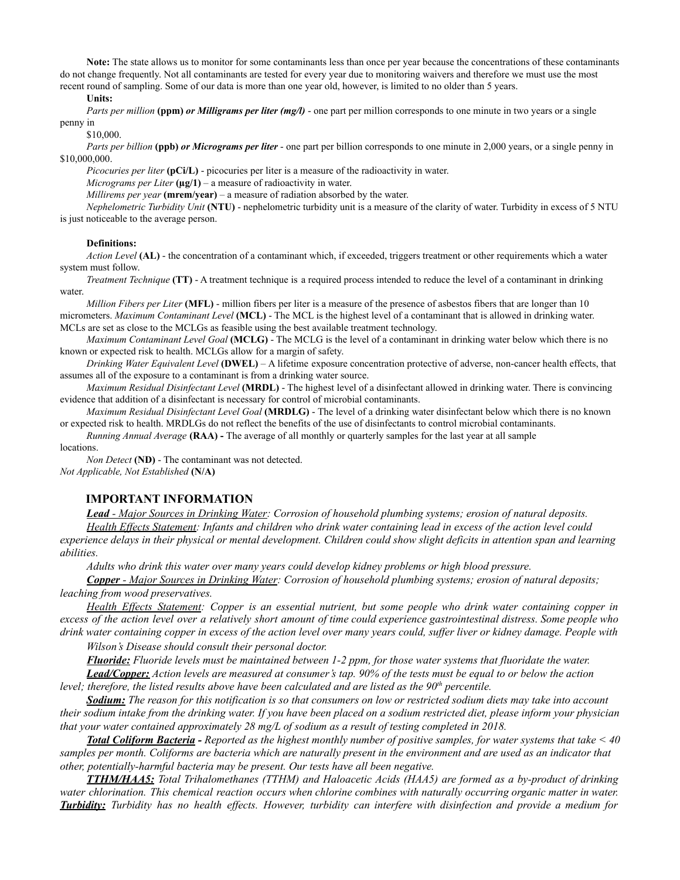**Note:** The state allows us to monitor for some contaminants less than once per year because the concentrations of these contaminants do not change frequently. Not all contaminants are tested for every year due to monitoring waivers and therefore we must use the most recent round of sampling. Some of our data is more than one year old, however, is limited to no older than 5 years.

**Units:**

*Parts per million* **(ppm)** *or Milligrams per liter (mg/l)* - one part per million corresponds to one minute in two years or a single penny in

\$10,000.

*Parts per billion* **(ppb)** *or Micrograms per liter* - one part per billion corresponds to one minute in 2,000 years, or a single penny in \$10,000,000.

*Picocuries per liter* **(pCi/L)** - picocuries per liter is a measure of the radioactivity in water.

*Micrograms per Liter*  $(\mu g/1)$  – a measure of radioactivity in water.

*Millirems per year* **(mrem/year)** – a measure of radiation absorbed by the water.

*Nephelometric Turbidity Unit* **(NTU)** - nephelometric turbidity unit is a measure of the clarity of water. Turbidity in excess of 5 NTU is just noticeable to the average person.

#### **Definitions:**

*Action Level* **(AL)** - the concentration of a contaminant which, if exceeded, triggers treatment or other requirements which a water system must follow.

*Treatment Technique* **(TT)** - A treatment technique is a required process intended to reduce the level of a contaminant in drinking water

*Million Fibers per Liter* **(MFL)** - million fibers per liter is a measure of the presence of asbestos fibers that are longer than 10 micrometers. *Maximum Contaminant Level* **(MCL)** - The MCL is the highest level of a contaminant that is allowed in drinking water. MCLs are set as close to the MCLGs as feasible using the best available treatment technology.

*Maximum Contaminant Level Goal* **(MCLG)** - The MCLG is the level of a contaminant in drinking water below which there is no known or expected risk to health. MCLGs allow for a margin of safety.

*Drinking Water Equivalent Level* **(DWEL)** *–* A lifetime exposure concentration protective of adverse, non-cancer health effects, that assumes all of the exposure to a contaminant is from a drinking water source.

*Maximum Residual Disinfectant Level* **(MRDL)** - The highest level of a disinfectant allowed in drinking water. There is convincing evidence that addition of a disinfectant is necessary for control of microbial contaminants.

*Maximum Residual Disinfectant Level Goal* **(MRDLG)** - The level of a drinking water disinfectant below which there is no known or expected risk to health. MRDLGs do not reflect the benefits of the use of disinfectants to control microbial contaminants.

*Running Annual Average* **(RAA) -** The average of all monthly or quarterly samples for the last year at all sample

locations.

*Non Detect* **(ND)** - The contaminant was not detected. *Not Applicable, Not Established* **(N/A)**

## **IMPORTANT INFORMATION**

*Lead - Major Sources in Drinking Water: Corrosion of household plumbing systems; erosion of natural deposits.*

Health Effects Statement: Infants and children who drink water containing lead in excess of the action level could experience delays in their physical or mental development. Children could show slight deficits in attention span and learning *abilities.*

*Adults who drink this water over many years could develop kidney problems or high blood pressure.*

*Copper - Major Sources in Drinking Water: Corrosion of household plumbing systems; erosion of natural deposits; leaching from wood preservatives.*

Health Effects Statement: Copper is an essential nutrient, but some people who drink water containing copper in excess of the action level over a relatively short amount of time could experience gastrointestinal distress. Some people who drink water containing copper in excess of the action level over many years could, suffer liver or kidney damage. People with

*Wilson's Disease should consult their personal doctor.*

**Fluoride:** Fluoride levels must be maintained between 1-2 ppm, for those water systems that fluoridate the water.

**Lead/Copper:** Action levels are measured at consumer's tap. 90% of the tests must be equal to or below the action *level; therefore, the listed results above have been calculated and are listed as the 90 th percentile.*

Sodium: The reason for this notification is so that consumers on low or restricted sodium diets may take into account their sodium intake from the drinking water. If you have been placed on a sodium restricted diet, please inform your physician *that your water contained approximately 28 mg/L of sodium as a result of testing completed in 2018.*

Total Coliform Bacteria - Reported as the highest monthly number of positive samples, for water systems that take < 40 samples per month. Coliforms are bacteria which are naturally present in the environment and are used as an indicator that *other, potentially-harmful bacteria may be present. Our tests have all been negative.*

*TTHM/HAA5: Total Trihalomethanes (TTHM) and Haloacetic Acids (HAA5) are formed as a by-product of drinking* water chlorination. This chemical reaction occurs when chlorine combines with naturally occurring organic matter in water. **Turbidity:** Turbidity has no health effects. However, turbidity can interfere with disinfection and provide a medium for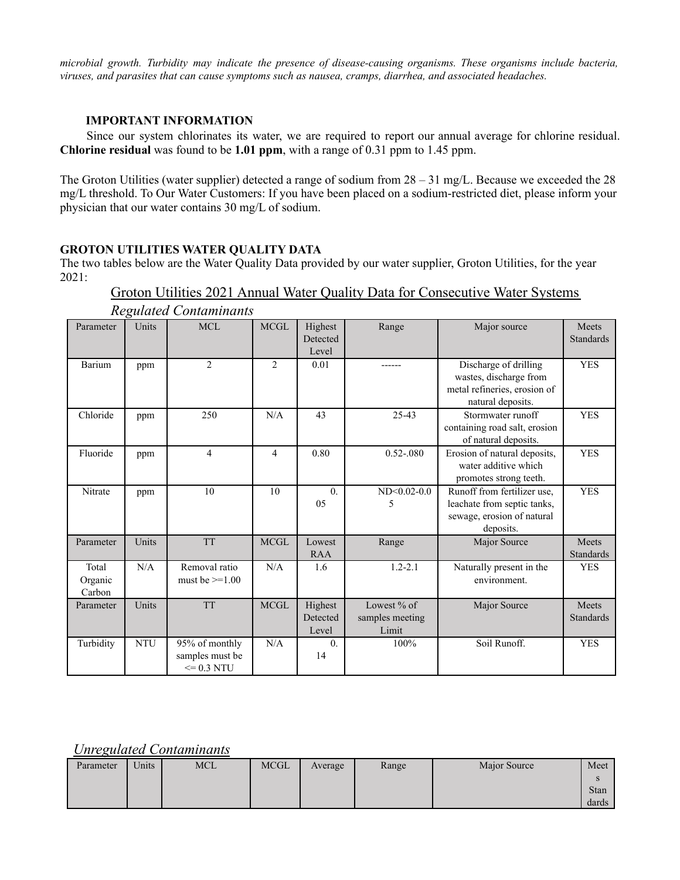*microbial growth. Turbidity may indicate the presence of disease-causing organisms. These organisms include bacteria, viruses, and parasites that can cause symptoms such as nausea, cramps, diarrhea, and associated headaches.*

# **IMPORTANT INFORMATION**

Since our system chlorinates its water, we are required to report our annual average for chlorine residual. **Chlorine residual** was found to be **1.01 ppm**, with a range of 0.31 ppm to 1.45 ppm.

The Groton Utilities (water supplier) detected a range of sodium from 28 – 31 mg/L. Because we exceeded the 28 mg/L threshold. To Our Water Customers: If you have been placed on a sodium-restricted diet, please inform your physician that our water contains 30 mg/L of sodium.

## **GROTON UTILITIES WATER QUALITY DATA**

The two tables below are the Water Quality Data provided by our water supplier, Groton Utilities, for the year 2021:

Groton Utilities 2021 Annual Water Quality Data for Consecutive Water Systems

| Reguialea Contaminants     |            |                                                     |                |                              |                                         |                                                                                                       |                           |  |
|----------------------------|------------|-----------------------------------------------------|----------------|------------------------------|-----------------------------------------|-------------------------------------------------------------------------------------------------------|---------------------------|--|
| Parameter                  | Units      | <b>MCL</b>                                          | <b>MCGL</b>    | Highest<br>Detected<br>Level | Range                                   | Major source                                                                                          | Meets<br><b>Standards</b> |  |
| Barium                     | ppm        | $\overline{2}$                                      | 2              | 0.01                         | ------                                  | Discharge of drilling<br>wastes, discharge from<br>metal refineries, erosion of<br>natural deposits.  | <b>YES</b>                |  |
| Chloride                   | ppm        | 250                                                 | N/A            | 43                           | 25-43                                   | Stormwater runoff<br>containing road salt, erosion<br>of natural deposits.                            | <b>YES</b>                |  |
| Fluoride                   | ppm        | 4                                                   | $\overline{4}$ | 0.80                         | $0.52 - 080$                            | Erosion of natural deposits,<br>water additive which<br>promotes strong teeth.                        | <b>YES</b>                |  |
| Nitrate                    | ppm        | 10                                                  | 10             | $\overline{0}$ .<br>05       | $ND<0.02-0.0$<br>5                      | Runoff from fertilizer use,<br>leachate from septic tanks,<br>sewage, erosion of natural<br>deposits. | <b>YES</b>                |  |
| Parameter                  | Units      | <b>TT</b>                                           | <b>MCGL</b>    | Lowest<br><b>RAA</b>         | Range                                   | Major Source                                                                                          | Meets<br><b>Standards</b> |  |
| Total<br>Organic<br>Carbon | N/A        | Removal ratio<br>must be $>=1.00$                   | N/A            | 1.6                          | $1.2 - 2.1$                             | Naturally present in the<br>environment.                                                              | <b>YES</b>                |  |
| Parameter                  | Units      | <b>TT</b>                                           | <b>MCGL</b>    | Highest<br>Detected<br>Level | Lowest % of<br>samples meeting<br>Limit | Major Source                                                                                          | Meets<br><b>Standards</b> |  |
| Turbidity                  | <b>NTU</b> | 95% of monthly<br>samples must be<br>$\leq$ 0.3 NTU | N/A            | $\overline{0}$ .<br>14       | 100%                                    | Soil Runoff.                                                                                          | <b>YES</b>                |  |

*Regulated Contaminants*

# *Unregulated Contaminants*

| Parameter | Units | <b>MCL</b> | <b>MCGL</b> | Average | Range | Major Source | Meet  |
|-----------|-------|------------|-------------|---------|-------|--------------|-------|
|           |       |            |             |         |       |              | N     |
|           |       |            |             |         |       |              | Stan  |
|           |       |            |             |         |       |              | dards |